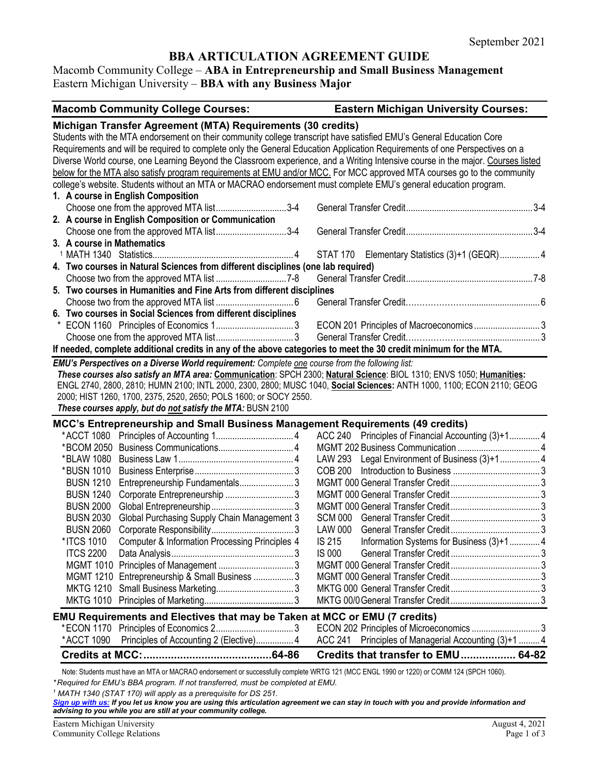# **BBA ARTICULATION AGREEMENT GUIDE**

# Macomb Community College – **ABA in Entrepreneurship and Small Business Management** Eastern Michigan University – **BBA with any Business Major**

|                            | <b>Macomb Community College Courses:</b>                                                                                        |                | <b>Eastern Michigan University Courses:</b>          |  |
|----------------------------|---------------------------------------------------------------------------------------------------------------------------------|----------------|------------------------------------------------------|--|
|                            | Michigan Transfer Agreement (MTA) Requirements (30 credits)                                                                     |                |                                                      |  |
|                            | Students with the MTA endorsement on their community college transcript have satisfied EMU's General Education Core             |                |                                                      |  |
|                            | Requirements and will be required to complete only the General Education Application Requirements of one Perspectives on a      |                |                                                      |  |
|                            | Diverse World course, one Learning Beyond the Classroom experience, and a Writing Intensive course in the major. Courses listed |                |                                                      |  |
|                            | below for the MTA also satisfy program requirements at EMU and/or MCC. For MCC approved MTA courses go to the community         |                |                                                      |  |
|                            | college's website. Students without an MTA or MACRAO endorsement must complete EMU's general education program.                 |                |                                                      |  |
|                            | 1. A course in English Composition                                                                                              |                |                                                      |  |
|                            | Choose one from the approved MTA list3-4                                                                                        |                |                                                      |  |
|                            | 2. A course in English Composition or Communication                                                                             |                |                                                      |  |
|                            | Choose one from the approved MTA list3-4                                                                                        |                |                                                      |  |
| 3. A course in Mathematics |                                                                                                                                 |                |                                                      |  |
|                            |                                                                                                                                 |                | STAT 170 Elementary Statistics (3)+1 (GEQR) 4        |  |
|                            | 4. Two courses in Natural Sciences from different disciplines (one lab required)                                                |                |                                                      |  |
|                            |                                                                                                                                 |                |                                                      |  |
|                            | 5. Two courses in Humanities and Fine Arts from different disciplines                                                           |                |                                                      |  |
|                            |                                                                                                                                 |                |                                                      |  |
|                            | 6. Two courses in Social Sciences from different disciplines                                                                    |                |                                                      |  |
|                            |                                                                                                                                 |                | ECON 201 Principles of Macroeconomics3               |  |
|                            |                                                                                                                                 |                |                                                      |  |
|                            | If needed, complete additional credits in any of the above categories to meet the 30 credit minimum for the MTA.                |                |                                                      |  |
|                            | EMU's Perspectives on a Diverse World requirement: Complete one course from the following list:                                 |                |                                                      |  |
|                            | These courses also satisfy an MTA area: Communication: SPCH 2300; Natural Science: BIOL 1310; ENVS 1050; Humanities:            |                |                                                      |  |
|                            | ENGL 2740, 2800, 2810; HUMN 2100; INTL 2000, 2300, 2800; MUSC 1040, Social Sciences: ANTH 1000, 1100; ECON 2110; GEOG           |                |                                                      |  |
|                            | 2000; HIST 1260, 1700, 2375, 2520, 2650; POLS 1600; or SOCY 2550.                                                               |                |                                                      |  |
|                            | These courses apply, but do not satisfy the MTA: BUSN 2100                                                                      |                |                                                      |  |
|                            | MCC's Entrepreneurship and Small Business Management Requirements (49 credits)                                                  |                |                                                      |  |
|                            |                                                                                                                                 |                | ACC 240 Principles of Financial Accounting (3)+1 4   |  |
|                            |                                                                                                                                 |                |                                                      |  |
| *BLAW 1080                 |                                                                                                                                 |                | LAW 293 Legal Environment of Business (3)+1 4        |  |
| *BUSN 1010                 |                                                                                                                                 | <b>COB 200</b> |                                                      |  |
| <b>BUSN 1210</b>           | Entrepreneurship Fundamentals3                                                                                                  |                |                                                      |  |
| <b>BUSN 1240</b>           |                                                                                                                                 |                |                                                      |  |
| <b>BUSN 2000</b>           |                                                                                                                                 |                |                                                      |  |
| <b>BUSN 2030</b>           | Global Purchasing Supply Chain Management 3                                                                                     | SCM 000        |                                                      |  |
| <b>BUSN 2060</b>           |                                                                                                                                 | LAW 000        |                                                      |  |
| *ITCS 1010                 | Computer & Information Processing Principles 4                                                                                  | <b>IS 215</b>  | Information Systems for Business (3)+14              |  |
|                            |                                                                                                                                 | <b>IS 000</b>  |                                                      |  |
|                            |                                                                                                                                 |                |                                                      |  |
|                            | MGMT 1210 Entrepreneurship & Small Business  3                                                                                  |                |                                                      |  |
|                            |                                                                                                                                 |                |                                                      |  |
|                            |                                                                                                                                 |                |                                                      |  |
|                            |                                                                                                                                 |                |                                                      |  |
|                            |                                                                                                                                 |                |                                                      |  |
|                            | EMU Requirements and Electives that may be Taken at MCC or EMU (7 credits)                                                      |                |                                                      |  |
|                            |                                                                                                                                 |                | ECON 202 Principles of Microeconomics 3              |  |
| *ACCT 1090                 | Principles of Accounting 2 (Elective) 4                                                                                         |                | ACC 241 Principles of Managerial Accounting (3)+1  4 |  |
|                            |                                                                                                                                 |                | Credits that transfer to EMU 64-82                   |  |

*\* Required for EMU's BBA program. If not transferred, must be completed at EMU.*

*<sup>1</sup> MATH 1340 (STAT 170) will apply as a prerequisite for DS 251.*

*[Sign up with us:](https://www.emich.edu/ccr/articulation-agreements/signup.php) If you let us know you are using this articulation agreement we can stay in touch with you and provide information and advising to you while you are still at your community college.*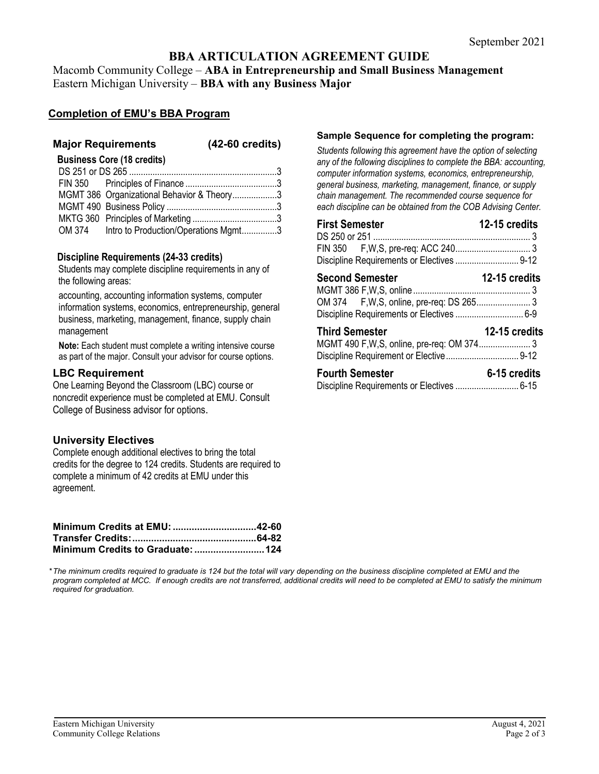# **BBA ARTICULATION AGREEMENT GUIDE**

Macomb Community College – **ABA in Entrepreneurship and Small Business Management** Eastern Michigan University – **BBA with any Business Major**

## **Completion of EMU's BBA Program**

### **Major Requirements (42-60 credits)**

**Business Core (18 credits)**

| MGMT 386 Organizational Behavior & Theory3  |  |
|---------------------------------------------|--|
|                                             |  |
|                                             |  |
| OM 374 Intro to Production/Operations Mgmt3 |  |

#### **Discipline Requirements (24-33 credits)**

Students may complete discipline requirements in any of the following areas:

accounting, accounting information systems, computer information systems, economics, entrepreneurship, general business, marketing, management, finance, supply chain management

**Note:** Each student must complete a writing intensive course as part of the major. Consult your advisor for course options.

#### **LBC Requirement**

One Learning Beyond the Classroom (LBC) course or noncredit experience must be completed at EMU. Consult College of Business advisor for options.

### **University Electives**

Complete enough additional electives to bring the total credits for the degree to 124 credits. Students are required to complete a minimum of 42 credits at EMU under this agreement.

#### **Sample Sequence for completing the program:**

*Students following this agreement have the option of selecting any of the following disciplines to complete the BBA: accounting, computer information systems, economics, entrepreneurship, general business, marketing, management, finance, or supply chain management. The recommended course sequence for each discipline can be obtained from the COB Advising Center.* 

| <b>First Semester</b>                          | 12-15 credits |
|------------------------------------------------|---------------|
|                                                |               |
|                                                |               |
| <b>12-15 credits</b><br><b>Second Semester</b> |               |
| <b>Third Semester</b>                          | 12-15 credits |
| <b>Fourth Semester</b>                         | 6-15 credits  |

|  | Discipline Requirements or Electives  6-15 |  |
|--|--------------------------------------------|--|
|--|--------------------------------------------|--|

*\*The minimum credits required to graduate is 124 but the total will vary depending on the business discipline completed at EMU and the program completed at MCC. If enough credits are not transferred, additional credits will need to be completed at EMU to satisfy the minimum required for graduation.*